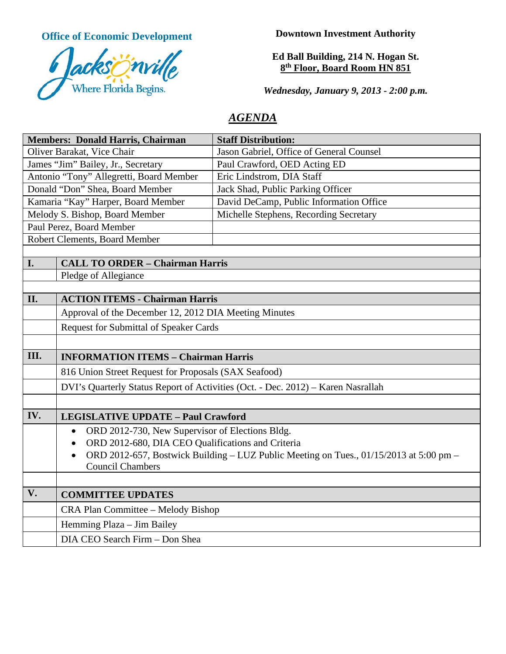**Office of Economic Development**



**Downtown Investment Authority**

# **Ed Ball Building, 214 N. Hogan St. 8th Floor, Board Room HN 851**

*Wednesday, January 9, 2013 - 2:00 p.m.*

# *AGENDA*

| <b>Members: Donald Harris, Chairman</b> |                                                                | <b>Staff Distribution:</b>                                                             |
|-----------------------------------------|----------------------------------------------------------------|----------------------------------------------------------------------------------------|
| Oliver Barakat, Vice Chair              |                                                                | Jason Gabriel, Office of General Counsel                                               |
| James "Jim" Bailey, Jr., Secretary      |                                                                | Paul Crawford, OED Acting ED                                                           |
| Antonio "Tony" Allegretti, Board Member |                                                                | Eric Lindstrom, DIA Staff                                                              |
| Donald "Don" Shea, Board Member         |                                                                | Jack Shad, Public Parking Officer                                                      |
| Kamaria "Kay" Harper, Board Member      |                                                                | David DeCamp, Public Information Office                                                |
| Melody S. Bishop, Board Member          |                                                                | Michelle Stephens, Recording Secretary                                                 |
| Paul Perez, Board Member                |                                                                |                                                                                        |
| Robert Clements, Board Member           |                                                                |                                                                                        |
|                                         |                                                                |                                                                                        |
| I.                                      | <b>CALL TO ORDER - Chairman Harris</b>                         |                                                                                        |
|                                         | Pledge of Allegiance                                           |                                                                                        |
| II.                                     | <b>ACTION ITEMS - Chairman Harris</b>                          |                                                                                        |
|                                         | Approval of the December 12, 2012 DIA Meeting Minutes          |                                                                                        |
|                                         |                                                                |                                                                                        |
|                                         | <b>Request for Submittal of Speaker Cards</b>                  |                                                                                        |
|                                         |                                                                |                                                                                        |
| III.                                    | <b>INFORMATION ITEMS - Chairman Harris</b>                     |                                                                                        |
|                                         | 816 Union Street Request for Proposals (SAX Seafood)           |                                                                                        |
|                                         |                                                                | DVI's Quarterly Status Report of Activities (Oct. - Dec. 2012) - Karen Nasrallah       |
|                                         |                                                                |                                                                                        |
| IV.                                     | <b>LEGISLATIVE UPDATE - Paul Crawford</b>                      |                                                                                        |
|                                         | ORD 2012-730, New Supervisor of Elections Bldg.<br>$\bullet$   |                                                                                        |
|                                         | ORD 2012-680, DIA CEO Qualifications and Criteria<br>$\bullet$ |                                                                                        |
|                                         | $\bullet$                                                      | ORD 2012-657, Bostwick Building – LUZ Public Meeting on Tues., 01/15/2013 at 5:00 pm – |
|                                         | <b>Council Chambers</b>                                        |                                                                                        |
|                                         |                                                                |                                                                                        |
| V.                                      | <b>COMMITTEE UPDATES</b>                                       |                                                                                        |
|                                         | CRA Plan Committee - Melody Bishop                             |                                                                                        |
|                                         | Hemming Plaza - Jim Bailey                                     |                                                                                        |
|                                         | DIA CEO Search Firm - Don Shea                                 |                                                                                        |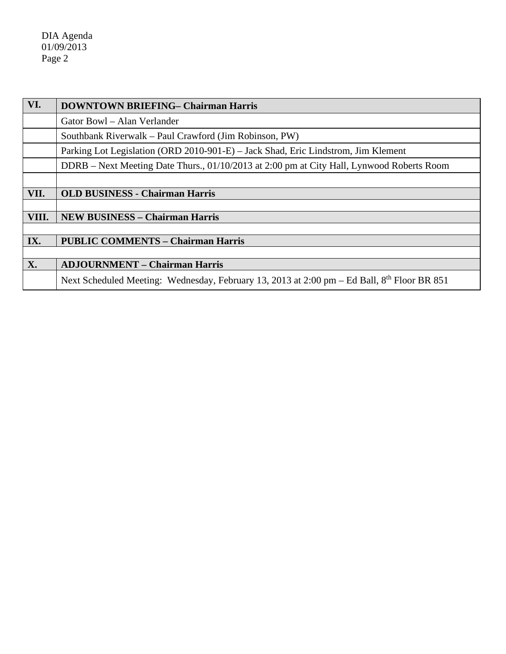DIA Agenda 01/09/2013 Page 2

| VI.   | <b>DOWNTOWN BRIEFING- Chairman Harris</b>                                                   |  |
|-------|---------------------------------------------------------------------------------------------|--|
|       | Gator Bowl - Alan Verlander                                                                 |  |
|       | Southbank Riverwalk – Paul Crawford (Jim Robinson, PW)                                      |  |
|       | Parking Lot Legislation (ORD 2010-901-E) – Jack Shad, Eric Lindstrom, Jim Klement           |  |
|       | DDRB – Next Meeting Date Thurs., 01/10/2013 at 2:00 pm at City Hall, Lynwood Roberts Room   |  |
|       |                                                                                             |  |
| VII.  | <b>OLD BUSINESS - Chairman Harris</b>                                                       |  |
|       |                                                                                             |  |
| VIII. | <b>NEW BUSINESS - Chairman Harris</b>                                                       |  |
|       |                                                                                             |  |
| IX.   | <b>PUBLIC COMMENTS - Chairman Harris</b>                                                    |  |
|       |                                                                                             |  |
| X.    | <b>ADJOURNMENT - Chairman Harris</b>                                                        |  |
|       | Next Scheduled Meeting: Wednesday, February 13, 2013 at 2:00 pm – Ed Ball, 8th Floor BR 851 |  |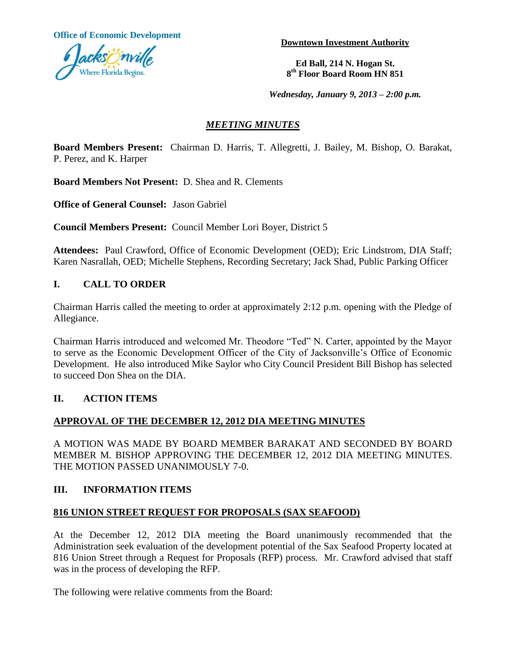**Office of Economic Development**



**Downtown Investment Authority**

**Ed Ball, 214 N. Hogan St. 8 th Floor Board Room HN 851**

*Wednesday, January 9, 2013 – 2:00 p.m.*

# *MEETING MINUTES*

**Board Members Present:** Chairman D. Harris, T. Allegretti, J. Bailey, M. Bishop, O. Barakat, P. Perez, and K. Harper

**Board Members Not Present:** D. Shea and R. Clements

**Office of General Counsel:** Jason Gabriel

**Council Members Present:** Council Member Lori Boyer, District 5

**Attendees:** Paul Crawford, Office of Economic Development (OED); Eric Lindstrom, DIA Staff; Karen Nasrallah, OED; Michelle Stephens, Recording Secretary; Jack Shad, Public Parking Officer

## **I. CALL TO ORDER**

Chairman Harris called the meeting to order at approximately 2:12 p.m. opening with the Pledge of Allegiance.

Chairman Harris introduced and welcomed Mr. Theodore "Ted" N. Carter, appointed by the Mayor to serve as the Economic Development Officer of the City of Jacksonville's Office of Economic Development. He also introduced Mike Saylor who City Council President Bill Bishop has selected to succeed Don Shea on the DIA.

### **II. ACTION ITEMS**

### **APPROVAL OF THE DECEMBER 12, 2012 DIA MEETING MINUTES**

A MOTION WAS MADE BY BOARD MEMBER BARAKAT AND SECONDED BY BOARD MEMBER M. BISHOP APPROVING THE DECEMBER 12, 2012 DIA MEETING MINUTES. THE MOTION PASSED UNANIMOUSLY 7-0.

### **III. INFORMATION ITEMS**

### **816 UNION STREET REQUEST FOR PROPOSALS (SAX SEAFOOD)**

At the December 12, 2012 DIA meeting the Board unanimously recommended that the Administration seek evaluation of the development potential of the Sax Seafood Property located at 816 Union Street through a Request for Proposals (RFP) process. Mr. Crawford advised that staff was in the process of developing the RFP.

The following were relative comments from the Board: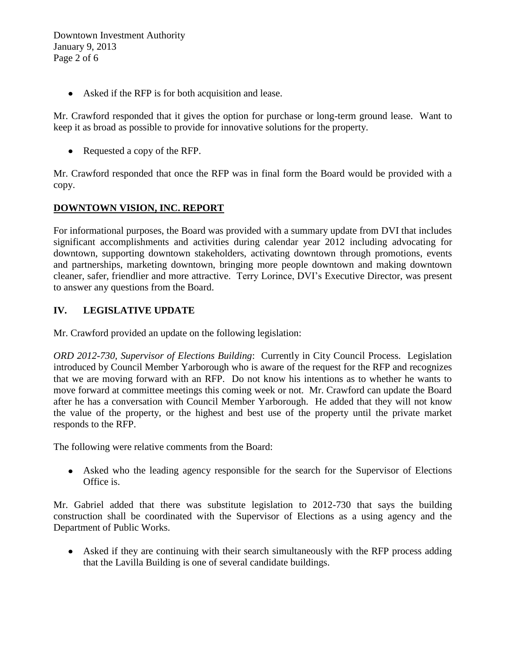Downtown Investment Authority January 9, 2013 Page 2 of 6

Asked if the RFP is for both acquisition and lease.

Mr. Crawford responded that it gives the option for purchase or long-term ground lease. Want to keep it as broad as possible to provide for innovative solutions for the property.

• Requested a copy of the RFP.

Mr. Crawford responded that once the RFP was in final form the Board would be provided with a copy.

## **DOWNTOWN VISION, INC. REPORT**

For informational purposes, the Board was provided with a summary update from DVI that includes significant accomplishments and activities during calendar year 2012 including advocating for downtown, supporting downtown stakeholders, activating downtown through promotions, events and partnerships, marketing downtown, bringing more people downtown and making downtown cleaner, safer, friendlier and more attractive. Terry Lorince, DVI's Executive Director, was present to answer any questions from the Board.

### **IV. LEGISLATIVE UPDATE**

Mr. Crawford provided an update on the following legislation:

*ORD 2012-730, Supervisor of Elections Building*: Currently in City Council Process. Legislation introduced by Council Member Yarborough who is aware of the request for the RFP and recognizes that we are moving forward with an RFP. Do not know his intentions as to whether he wants to move forward at committee meetings this coming week or not. Mr. Crawford can update the Board after he has a conversation with Council Member Yarborough. He added that they will not know the value of the property, or the highest and best use of the property until the private market responds to the RFP.

The following were relative comments from the Board:

Asked who the leading agency responsible for the search for the Supervisor of Elections Office is.

Mr. Gabriel added that there was substitute legislation to 2012-730 that says the building construction shall be coordinated with the Supervisor of Elections as a using agency and the Department of Public Works.

Asked if they are continuing with their search simultaneously with the RFP process adding that the Lavilla Building is one of several candidate buildings.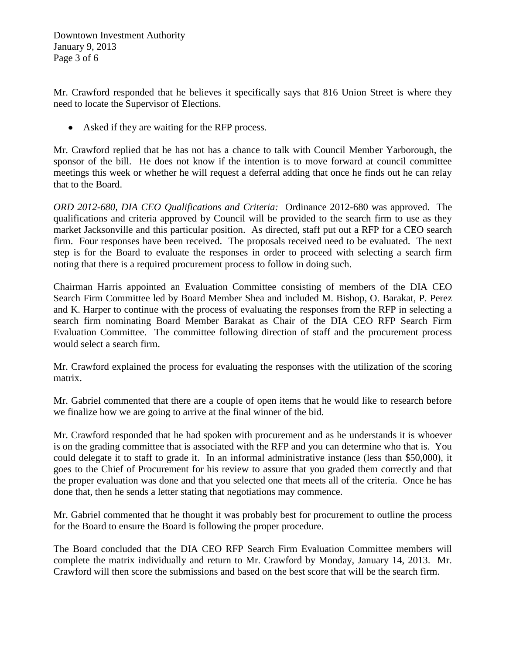Downtown Investment Authority January 9, 2013 Page 3 of 6

Mr. Crawford responded that he believes it specifically says that 816 Union Street is where they need to locate the Supervisor of Elections.

Asked if they are waiting for the RFP process.

Mr. Crawford replied that he has not has a chance to talk with Council Member Yarborough, the sponsor of the bill. He does not know if the intention is to move forward at council committee meetings this week or whether he will request a deferral adding that once he finds out he can relay that to the Board.

*ORD 2012-680, DIA CEO Qualifications and Criteria:* Ordinance 2012-680 was approved. The qualifications and criteria approved by Council will be provided to the search firm to use as they market Jacksonville and this particular position. As directed, staff put out a RFP for a CEO search firm. Four responses have been received. The proposals received need to be evaluated. The next step is for the Board to evaluate the responses in order to proceed with selecting a search firm noting that there is a required procurement process to follow in doing such.

Chairman Harris appointed an Evaluation Committee consisting of members of the DIA CEO Search Firm Committee led by Board Member Shea and included M. Bishop, O. Barakat, P. Perez and K. Harper to continue with the process of evaluating the responses from the RFP in selecting a search firm nominating Board Member Barakat as Chair of the DIA CEO RFP Search Firm Evaluation Committee. The committee following direction of staff and the procurement process would select a search firm.

Mr. Crawford explained the process for evaluating the responses with the utilization of the scoring matrix.

Mr. Gabriel commented that there are a couple of open items that he would like to research before we finalize how we are going to arrive at the final winner of the bid.

Mr. Crawford responded that he had spoken with procurement and as he understands it is whoever is on the grading committee that is associated with the RFP and you can determine who that is. You could delegate it to staff to grade it. In an informal administrative instance (less than \$50,000), it goes to the Chief of Procurement for his review to assure that you graded them correctly and that the proper evaluation was done and that you selected one that meets all of the criteria. Once he has done that, then he sends a letter stating that negotiations may commence.

Mr. Gabriel commented that he thought it was probably best for procurement to outline the process for the Board to ensure the Board is following the proper procedure.

The Board concluded that the DIA CEO RFP Search Firm Evaluation Committee members will complete the matrix individually and return to Mr. Crawford by Monday, January 14, 2013. Mr. Crawford will then score the submissions and based on the best score that will be the search firm.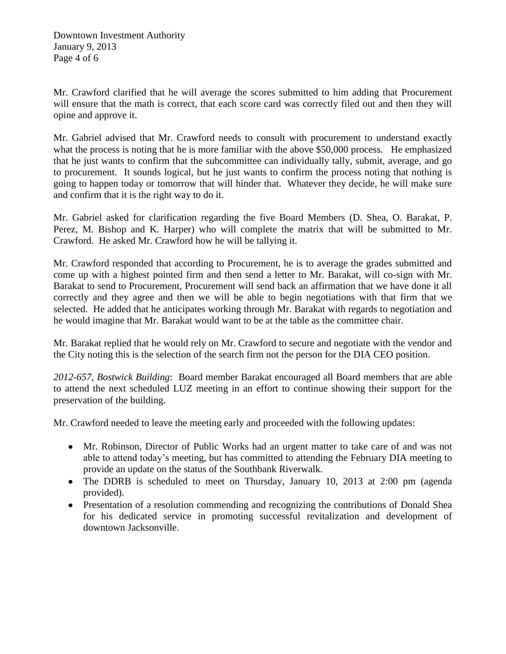Mr. Crawford clarified that he will average the scores submitted to him adding that Procurement will ensure that the math is correct, that each score card was correctly filed out and then they will opine and approve it.

Mr. Gabriel advised that Mr. Crawford needs to consult with procurement to understand exactly what the process is noting that he is more familiar with the above \$50,000 process. He emphasized that he just wants to confirm that the subcommittee can individually tally, submit, average, and go to procurement. It sounds logical, but he just wants to confirm the process noting that nothing is going to happen today or tomorrow that will hinder that. Whatever they decide, he will make sure and confirm that it is the right way to do it.

Mr. Gabriel asked for clarification regarding the five Board Members (D. Shea, O. Barakat, P. Perez, M. Bishop and K. Harper) who will complete the matrix that will be submitted to Mr. Crawford. He asked Mr. Crawford how he will be tallying it.

Mr. Crawford responded that according to Procurement, he is to average the grades submitted and come up with a highest pointed firm and then send a letter to Mr. Barakat, will co-sign with Mr. Barakat to send to Procurement, Procurement will send back an affirmation that we have done it all correctly and they agree and then we will be able to begin negotiations with that firm that we selected. He added that he anticipates working through Mr. Barakat with regards to negotiation and he would imagine that Mr. Barakat would want to be at the table as the committee chair.

Mr. Barakat replied that he would rely on Mr. Crawford to secure and negotiate with the vendor and the City noting this is the selection of the search firm not the person for the DIA CEO position.

*2012-657, Bostwick Building*: Board member Barakat encouraged all Board members that are able to attend the next scheduled LUZ meeting in an effort to continue showing their support for the preservation of the building.

Mr. Crawford needed to leave the meeting early and proceeded with the following updates:

- Mr. Robinson, Director of Public Works had an urgent matter to take care of and was not able to attend today's meeting, but has committed to attending the February DIA meeting to provide an update on the status of the Southbank Riverwalk.
- The DDRB is scheduled to meet on Thursday, January 10, 2013 at 2:00 pm (agenda) provided).
- Presentation of a resolution commending and recognizing the contributions of Donald Shea for his dedicated service in promoting successful revitalization and development of downtown Jacksonville.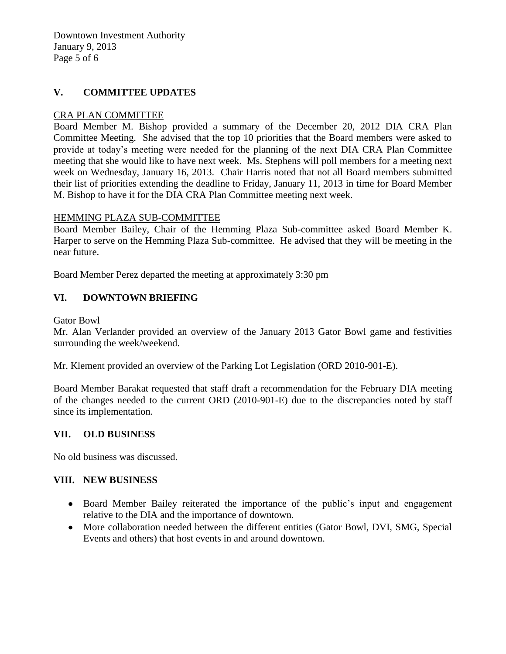Downtown Investment Authority January 9, 2013 Page 5 of 6

## **V. COMMITTEE UPDATES**

#### CRA PLAN COMMITTEE

Board Member M. Bishop provided a summary of the December 20, 2012 DIA CRA Plan Committee Meeting. She advised that the top 10 priorities that the Board members were asked to provide at today's meeting were needed for the planning of the next DIA CRA Plan Committee meeting that she would like to have next week. Ms. Stephens will poll members for a meeting next week on Wednesday, January 16, 2013. Chair Harris noted that not all Board members submitted their list of priorities extending the deadline to Friday, January 11, 2013 in time for Board Member M. Bishop to have it for the DIA CRA Plan Committee meeting next week.

#### HEMMING PLAZA SUB-COMMITTEE

Board Member Bailey, Chair of the Hemming Plaza Sub-committee asked Board Member K. Harper to serve on the Hemming Plaza Sub-committee. He advised that they will be meeting in the near future.

Board Member Perez departed the meeting at approximately 3:30 pm

### **VI. DOWNTOWN BRIEFING**

#### Gator Bowl

Mr. Alan Verlander provided an overview of the January 2013 Gator Bowl game and festivities surrounding the week/weekend.

Mr. Klement provided an overview of the Parking Lot Legislation (ORD 2010-901-E).

Board Member Barakat requested that staff draft a recommendation for the February DIA meeting of the changes needed to the current ORD (2010-901-E) due to the discrepancies noted by staff since its implementation.

### **VII. OLD BUSINESS**

No old business was discussed.

#### **VIII. NEW BUSINESS**

- Board Member Bailey reiterated the importance of the public's input and engagement relative to the DIA and the importance of downtown.
- More collaboration needed between the different entities (Gator Bowl, DVI, SMG, Special Events and others) that host events in and around downtown.